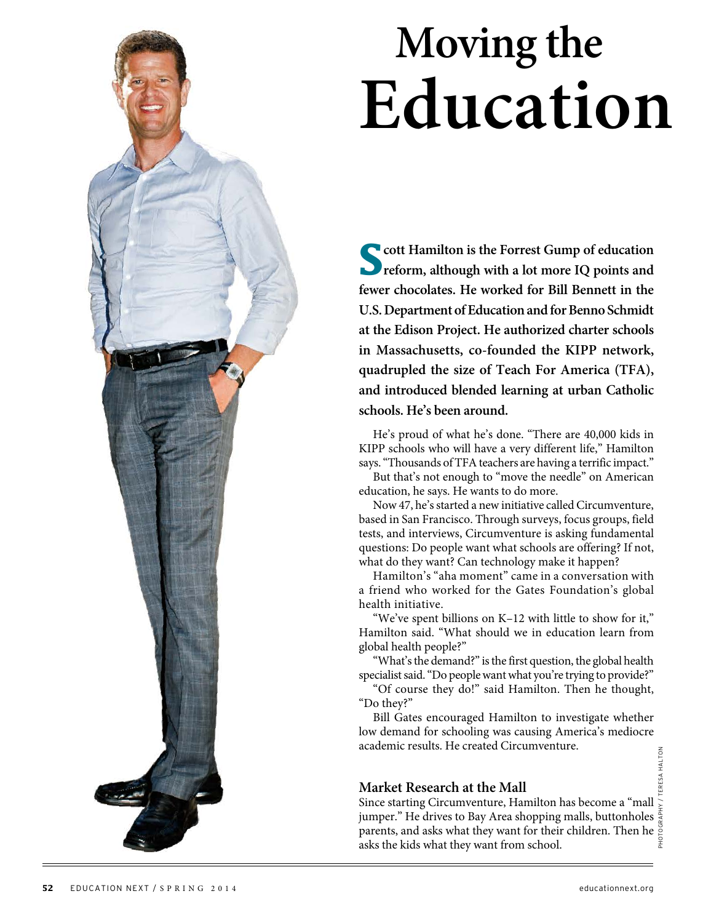## **Moving the Education**

**Scott Hamilton is the Forrest Gump of education reform, although with a lot more IQ points and fewer chocolates. He worked for Bill Bennett in the U.S. Department of Education and for Benno Schmidt at the Edison Project. He authorized charter schools in Massachusetts, co-founded the KIPP network, quadrupled the size of Teach For America (TFA), and introduced blended learning at urban Catholic schools. He's been around.**

He's proud of what he's done. "There are 40,000 kids in KIPP schools who will have a very different life," Hamilton says. "Thousands of TFA teachers are having a terrific impact."

But that's not enough to "move the needle" on American education, he says. He wants to do more.

Now 47, he's started a new initiative called Circumventure, based in San Francisco. Through surveys, focus groups, field tests, and interviews, Circumventure is asking fundamental questions: Do people want what schools are offering? If not, what do they want? Can technology make it happen?

Hamilton's "aha moment" came in a conversation with a friend who worked for the Gates Foundation's global health initiative.

"We've spent billions on K–12 with little to show for it," Hamilton said. "What should we in education learn from global health people?"

"What's the demand?" is the first question, the global health specialist said. "Do people want what you're trying to provide?"

"Of course they do!" said Hamilton. Then he thought, "Do they?"

Bill Gates encouraged Hamilton to investigate whether low demand for schooling was causing America's mediocre academic results. He created Circumventure.

#### **Market Research at the Mall**

Since starting Circumventure, Hamilton has become a "mall  $\gtrsim$ jumper." He drives to Bay Area shopping malls, buttonholes  $\frac{1}{5}$ parents, and asks what they want for their children. Then he  $\frac{8}{5}$  asks the kids what they want from school. asks the kids what they want from school.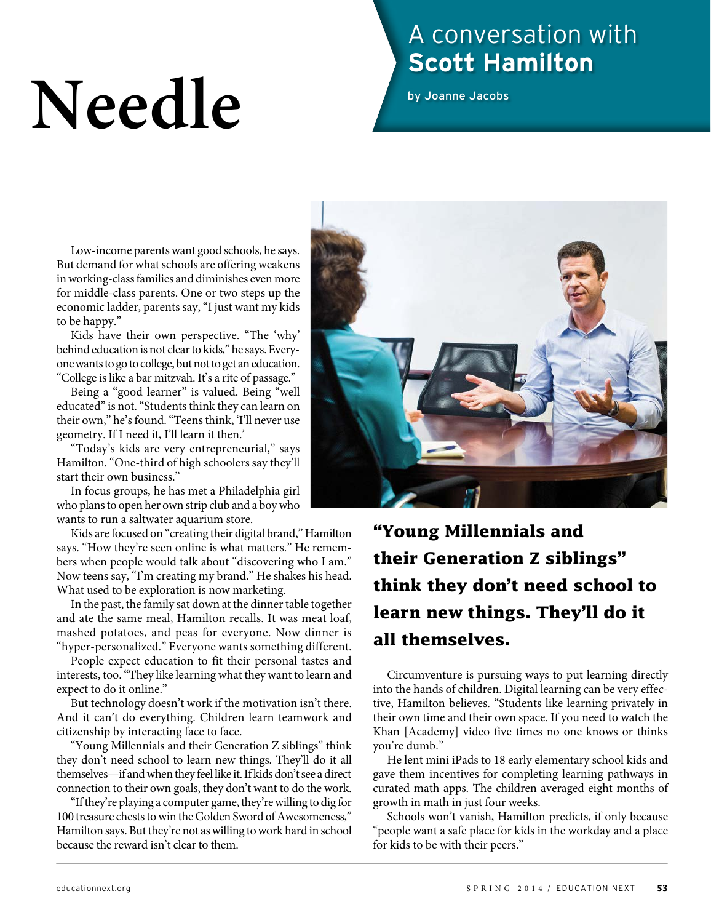# Needle

## A conversation with **Scott Hamilton**

by Joanne Jacobs

Low-income parents want good schools, he says. But demand for what schools are offering weakens in working-class families and diminishes even more for middle-class parents. One or two steps up the economic ladder, parents say, "I just want my kids to be happy."

Kids have their own perspective. "The 'why' behind education is not clear to kids," he says. Everyone wants to go to college, but not to get an education. "College is like a bar mitzvah. It's a rite of passage."

Being a "good learner" is valued. Being "well educated" is not. "Students think they can learn on their own," he's found. "Teens think, 'I'll never use geometry. If I need it, I'll learn it then.'

"Today's kids are very entrepreneurial," says Hamilton. "One-third of high schoolers say they'll start their own business."

In focus groups, he has met a Philadelphia girl who plans to open her own strip club and a boy who wants to run a saltwater aquarium store.

Kids are focused on "creating their digital brand," Hamilton says. "How they're seen online is what matters." He remembers when people would talk about "discovering who I am." Now teens say, "I'm creating my brand." He shakes his head. What used to be exploration is now marketing.

In the past, the family sat down at the dinner table together and ate the same meal, Hamilton recalls. It was meat loaf, mashed potatoes, and peas for everyone. Now dinner is "hyper-personalized." Everyone wants something different.

People expect education to fit their personal tastes and interests, too. "They like learning what they want to learn and expect to do it online."

But technology doesn't work if the motivation isn't there. And it can't do everything. Children learn teamwork and citizenship by interacting face to face.

"Young Millennials and their Generation Z siblings" think they don't need school to learn new things. They'll do it all themselves—if and when they feel like it. If kids don't see a direct connection to their own goals, they don't want to do the work.

"If they're playing a computer game, they're willing to dig for 100 treasure chests to win the Golden Sword of Awesomeness," Hamilton says. But they're not as willing to work hard in school because the reward isn't clear to them.



**"Young Millennials and their Generation Z siblings" think they don't need school to learn new things. They'll do it all themselves.** 

Circumventure is pursuing ways to put learning directly into the hands of children. Digital learning can be very effective, Hamilton believes. "Students like learning privately in their own time and their own space. If you need to watch the Khan [Academy] video five times no one knows or thinks you're dumb."

He lent mini iPads to 18 early elementary school kids and gave them incentives for completing learning pathways in curated math apps. The children averaged eight months of growth in math in just four weeks.

Schools won't vanish, Hamilton predicts, if only because "people want a safe place for kids in the workday and a place for kids to be with their peers."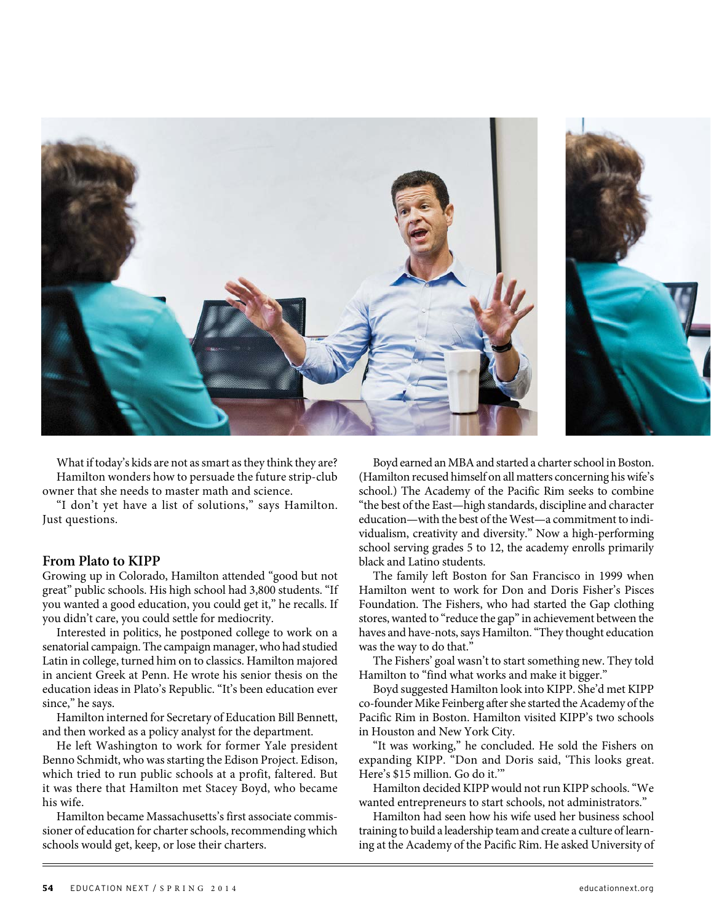

What if today's kids are not as smart as they think they are? Hamilton wonders how to persuade the future strip-club owner that she needs to master math and science.

"I don't yet have a list of solutions," says Hamilton. Just questions.

#### **From Plato to KIPP**

Growing up in Colorado, Hamilton attended "good but not great" public schools. His high school had 3,800 students. "If you wanted a good education, you could get it," he recalls. If you didn't care, you could settle for mediocrity.

Interested in politics, he postponed college to work on a senatorial campaign. The campaign manager, who had studied Latin in college, turned him on to classics. Hamilton majored in ancient Greek at Penn. He wrote his senior thesis on the education ideas in Plato's Republic. "It's been education ever since," he says.

Hamilton interned for Secretary of Education Bill Bennett, and then worked as a policy analyst for the department.

He left Washington to work for former Yale president Benno Schmidt, who was starting the Edison Project. Edison, which tried to run public schools at a profit, faltered. But it was there that Hamilton met Stacey Boyd, who became his wife.

Hamilton became Massachusetts's first associate commissioner of education for charter schools, recommending which schools would get, keep, or lose their charters.

Boyd earned an MBA and started a charter school in Boston. (Hamilton recused himself on all matters concerning his wife's school.) The Academy of the Pacific Rim seeks to combine "the best of the East—high standards, discipline and character education—with the best of the West—a commitment to individualism, creativity and diversity." Now a high-performing school serving grades 5 to 12, the academy enrolls primarily black and Latino students.

The family left Boston for San Francisco in 1999 when Hamilton went to work for Don and Doris Fisher's Pisces Foundation. The Fishers, who had started the Gap clothing stores, wanted to "reduce the gap" in achievement between the haves and have-nots, says Hamilton. "They thought education was the way to do that."

The Fishers' goal wasn't to start something new. They told Hamilton to "find what works and make it bigger."

Boyd suggested Hamilton look into KIPP. She'd met KIPP co-founder Mike Feinberg after she started the Academy of the Pacific Rim in Boston. Hamilton visited KIPP's two schools in Houston and New York City.

"It was working," he concluded. He sold the Fishers on expanding KIPP. "Don and Doris said, 'This looks great. Here's \$15 million. Go do it.'"

Hamilton decided KIPP would not run KIPP schools. "We wanted entrepreneurs to start schools, not administrators."

Hamilton had seen how his wife used her business school training to build a leadership team and create a culture of learning at the Academy of the Pacific Rim. He asked University of